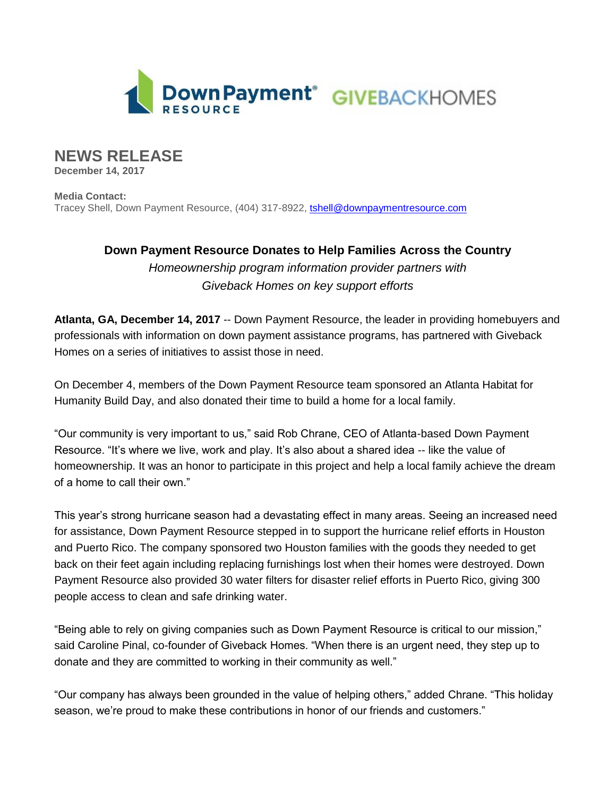

**NEWS RELEASE** 

**December 14, 2017**

**Media Contact:** Tracey Shell, Down Payment Resource, (404) 317-8922, [tshell@downpaymentresource.com](mailto:tshell@downpaymentresource.com)

## **Down Payment Resource Donates to Help Families Across the Country**

*Homeownership program information provider partners with Giveback Homes on key support efforts*

**Atlanta, GA, December 14, 2017** -- Down Payment Resource, the leader in providing homebuyers and professionals with information on down payment assistance programs, has partnered with Giveback Homes on a series of initiatives to assist those in need.

On December 4, members of the Down Payment Resource team sponsored an Atlanta Habitat for Humanity Build Day, and also donated their time to build a home for a local family.

"Our community is very important to us," said Rob Chrane, CEO of Atlanta-based Down Payment Resource. "It's where we live, work and play. It's also about a shared idea -- like the value of homeownership. It was an honor to participate in this project and help a local family achieve the dream of a home to call their own."

This year's strong hurricane season had a devastating effect in many areas. Seeing an increased need for assistance, Down Payment Resource stepped in to support the hurricane relief efforts in Houston and Puerto Rico. The company sponsored two Houston families with the goods they needed to get back on their feet again including replacing furnishings lost when their homes were destroyed. Down Payment Resource also provided 30 water filters for disaster relief efforts in Puerto Rico, giving 300 people access to clean and safe drinking water.

"Being able to rely on giving companies such as Down Payment Resource is critical to our mission," said Caroline Pinal, co-founder of Giveback Homes. "When there is an urgent need, they step up to donate and they are committed to working in their community as well."

"Our company has always been grounded in the value of helping others," added Chrane. "This holiday season, we're proud to make these contributions in honor of our friends and customers."